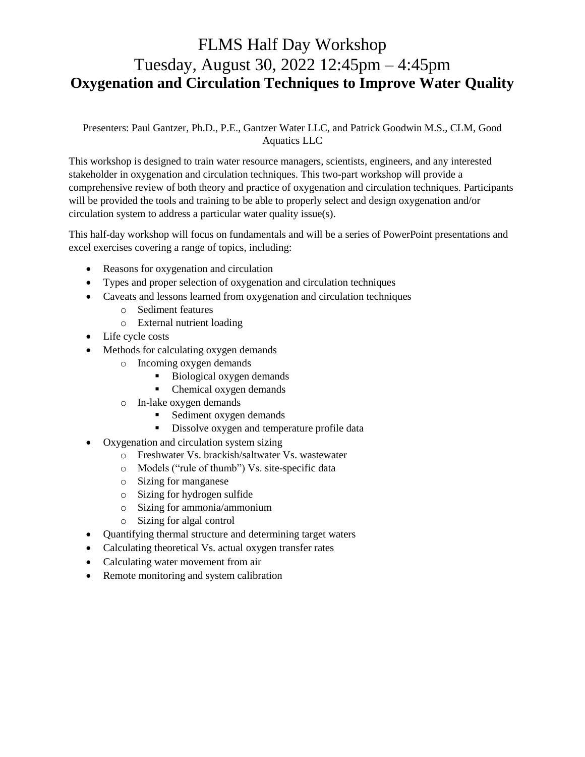# FLMS Half Day Workshop Tuesday, August 30, 2022 12:45pm – 4:45pm **Oxygenation and Circulation Techniques to Improve Water Quality**

Presenters: Paul Gantzer, Ph.D., P.E., Gantzer Water LLC, and Patrick Goodwin M.S., CLM, Good Aquatics LLC

This workshop is designed to train water resource managers, scientists, engineers, and any interested stakeholder in oxygenation and circulation techniques. This two-part workshop will provide a comprehensive review of both theory and practice of oxygenation and circulation techniques. Participants will be provided the tools and training to be able to properly select and design oxygenation and/or circulation system to address a particular water quality issue(s).

This half-day workshop will focus on fundamentals and will be a series of PowerPoint presentations and excel exercises covering a range of topics, including:

- Reasons for oxygenation and circulation
- Types and proper selection of oxygenation and circulation techniques
- Caveats and lessons learned from oxygenation and circulation techniques
	- o Sediment features
	- o External nutrient loading
- Life cycle costs
- Methods for calculating oxygen demands
	- o Incoming oxygen demands
		- Biological oxygen demands
		- Chemical oxygen demands
	- o In-lake oxygen demands
		- Sediment oxygen demands
		- **•** Dissolve oxygen and temperature profile data
- Oxygenation and circulation system sizing
	- o Freshwater Vs. brackish/saltwater Vs. wastewater
	- o Models ("rule of thumb") Vs. site-specific data
	- o Sizing for manganese
	- o Sizing for hydrogen sulfide
	- o Sizing for ammonia/ammonium
	- o Sizing for algal control
- Quantifying thermal structure and determining target waters
- Calculating theoretical Vs. actual oxygen transfer rates
- Calculating water movement from air
- Remote monitoring and system calibration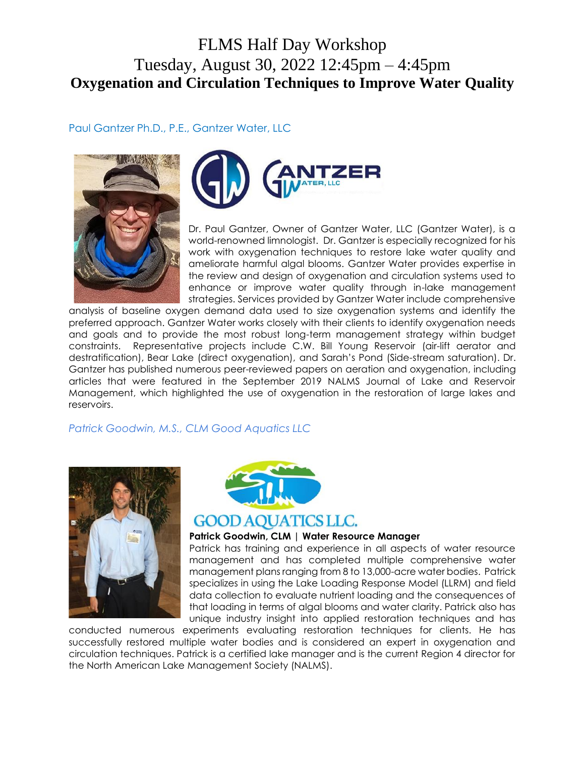# FLMS Half Day Workshop Tuesday, August 30, 2022 12:45pm – 4:45pm **Oxygenation and Circulation Techniques to Improve Water Quality**

### Paul Gantzer Ph.D., P.E., Gantzer Water, LLC





Dr. Paul Gantzer, Owner of Gantzer Water, LLC (Gantzer Water), is a world-renowned limnologist. Dr. Gantzer is especially recognized for his work with oxygenation techniques to restore lake water quality and ameliorate harmful algal blooms. Gantzer Water provides expertise in the review and design of oxygenation and circulation systems used to enhance or improve water quality through in-lake management strategies. Services provided by Gantzer Water include comprehensive

analysis of baseline oxygen demand data used to size oxygenation systems and identify the preferred approach. Gantzer Water works closely with their clients to identify oxygenation needs and goals and to provide the most robust long-term management strategy within budget constraints. Representative projects include C.W. Bill Young Reservoir (air-lift aerator and destratification), Bear Lake (direct oxygenation), and Sarah's Pond (Side-stream saturation). Dr. Gantzer has published numerous peer-reviewed papers on aeration and oxygenation, including articles that were featured in the September 2019 NALMS Journal of Lake and Reservoir Management, which highlighted the use of oxygenation in the restoration of large lakes and reservoirs.

### *Patrick Goodwin, M.S., CLM Good Aquatics LLC*





### **GOOD AOUATICS LLC.**

#### **Patrick Goodwin, CLM | Water Resource Manager**

Patrick has training and experience in all aspects of water resource management and has completed multiple comprehensive water management plans ranging from 8 to 13,000-acre water bodies. Patrick specializes in using the Lake Loading Response Model (LLRM) and field data collection to evaluate nutrient loading and the consequences of that loading in terms of algal blooms and water clarity. Patrick also has unique industry insight into applied restoration techniques and has

conducted numerous experiments evaluating restoration techniques for clients. He has successfully restored multiple water bodies and is considered an expert in oxygenation and circulation techniques. Patrick is a certified lake manager and is the current Region 4 director for the North American Lake Management Society (NALMS).